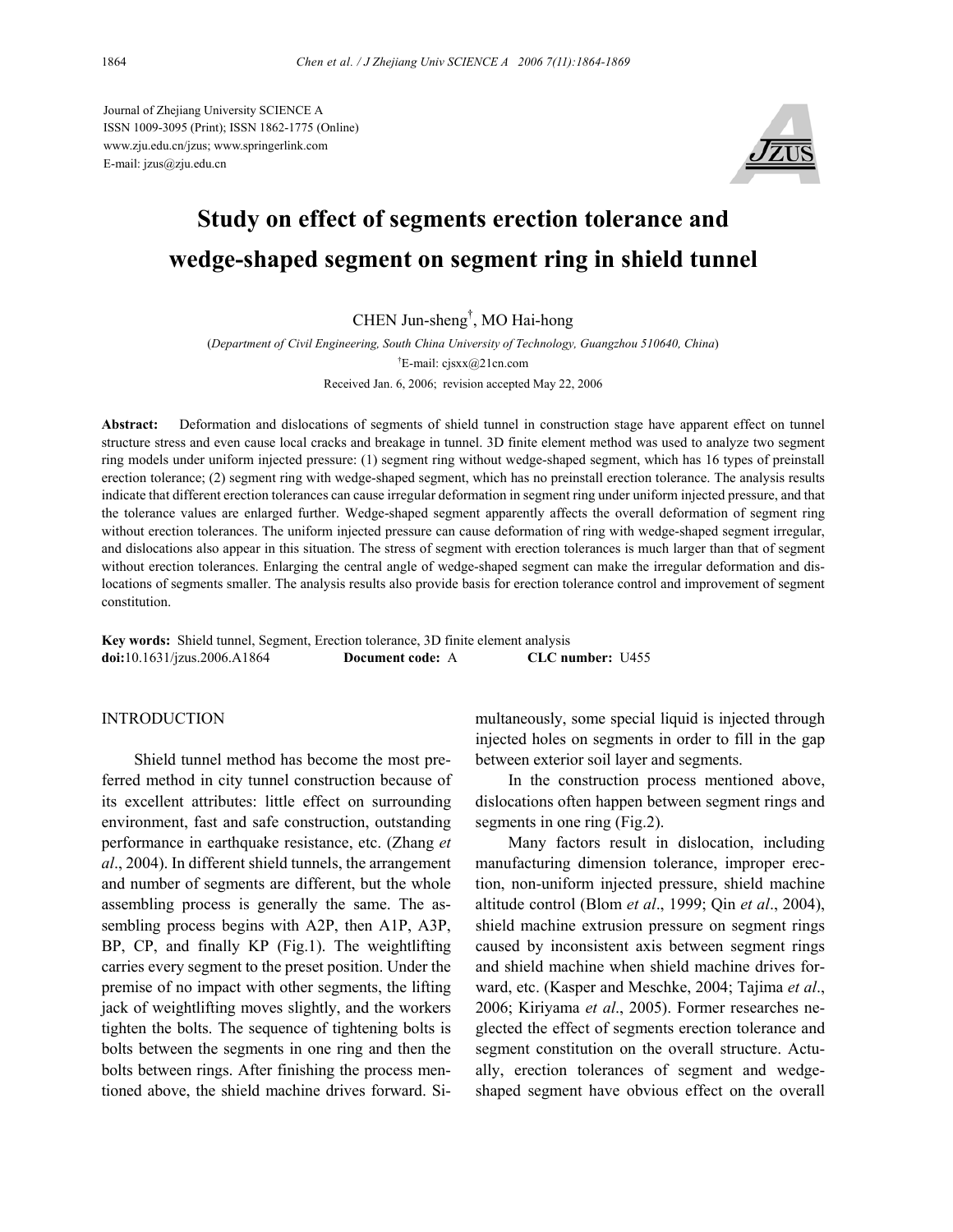Journal of Zhejiang University SCIENCE A ISSN 1009-3095 (Print); ISSN 1862-1775 (Online) www.zju.edu.cn/jzus; www.springerlink.com E-mail: jzus@zju.edu.cn



# **Study on effect of segments erection tolerance and wedge-shaped segment on segment ring in shield tunnel**

CHEN Jun-sheng† , MO Hai-hong

(*Department of Civil Engineering, South China University of Technology, Guangzhou 510640, China*) † E-mail: cjsxx@21cn.com Received Jan. 6, 2006; revision accepted May 22, 2006

**Abstract:** Deformation and dislocations of segments of shield tunnel in construction stage have apparent effect on tunnel structure stress and even cause local cracks and breakage in tunnel. 3D finite element method was used to analyze two segment ring models under uniform injected pressure: (1) segment ring without wedge-shaped segment, which has 16 types of preinstall erection tolerance; (2) segment ring with wedge-shaped segment, which has no preinstall erection tolerance. The analysis results indicate that different erection tolerances can cause irregular deformation in segment ring under uniform injected pressure, and that the tolerance values are enlarged further. Wedge-shaped segment apparently affects the overall deformation of segment ring without erection tolerances. The uniform injected pressure can cause deformation of ring with wedge-shaped segment irregular, and dislocations also appear in this situation. The stress of segment with erection tolerances is much larger than that of segment without erection tolerances. Enlarging the central angle of wedge-shaped segment can make the irregular deformation and dislocations of segments smaller. The analysis results also provide basis for erection tolerance control and improvement of segment constitution.

**Key words:** Shield tunnel, Segment, Erection tolerance, 3D finite element analysis **doi:**10.1631/jzus.2006.A1864 **Document code:** A **CLC number:** U455

# **INTRODUCTION**

Shield tunnel method has become the most preferred method in city tunnel construction because of its excellent attributes: little effect on surrounding environment, fast and safe construction, outstanding performance in earthquake resistance, etc. (Zhang *et al*., 2004). In different shield tunnels, the arrangement and number of segments are different, but the whole assembling process is generally the same. The assembling process begins with A2P, then A1P, A3P, BP, CP, and finally KP (Fig.1). The weightlifting carries every segment to the preset position. Under the premise of no impact with other segments, the lifting jack of weightlifting moves slightly, and the workers tighten the bolts. The sequence of tightening bolts is bolts between the segments in one ring and then the bolts between rings. After finishing the process mentioned above, the shield machine drives forward. Simultaneously, some special liquid is injected through injected holes on segments in order to fill in the gap between exterior soil layer and segments.

In the construction process mentioned above, dislocations often happen between segment rings and segments in one ring (Fig.2).

Many factors result in dislocation, including manufacturing dimension tolerance, improper erection, non-uniform injected pressure, shield machine altitude control (Blom *et al*., 1999; Qin *et al*., 2004), shield machine extrusion pressure on segment rings caused by inconsistent axis between segment rings and shield machine when shield machine drives forward, etc. (Kasper and Meschke, 2004; Tajima *et al*., 2006; Kiriyama *et al*., 2005). Former researches neglected the effect of segments erection tolerance and segment constitution on the overall structure. Actually, erection tolerances of segment and wedgeshaped segment have obvious effect on the overall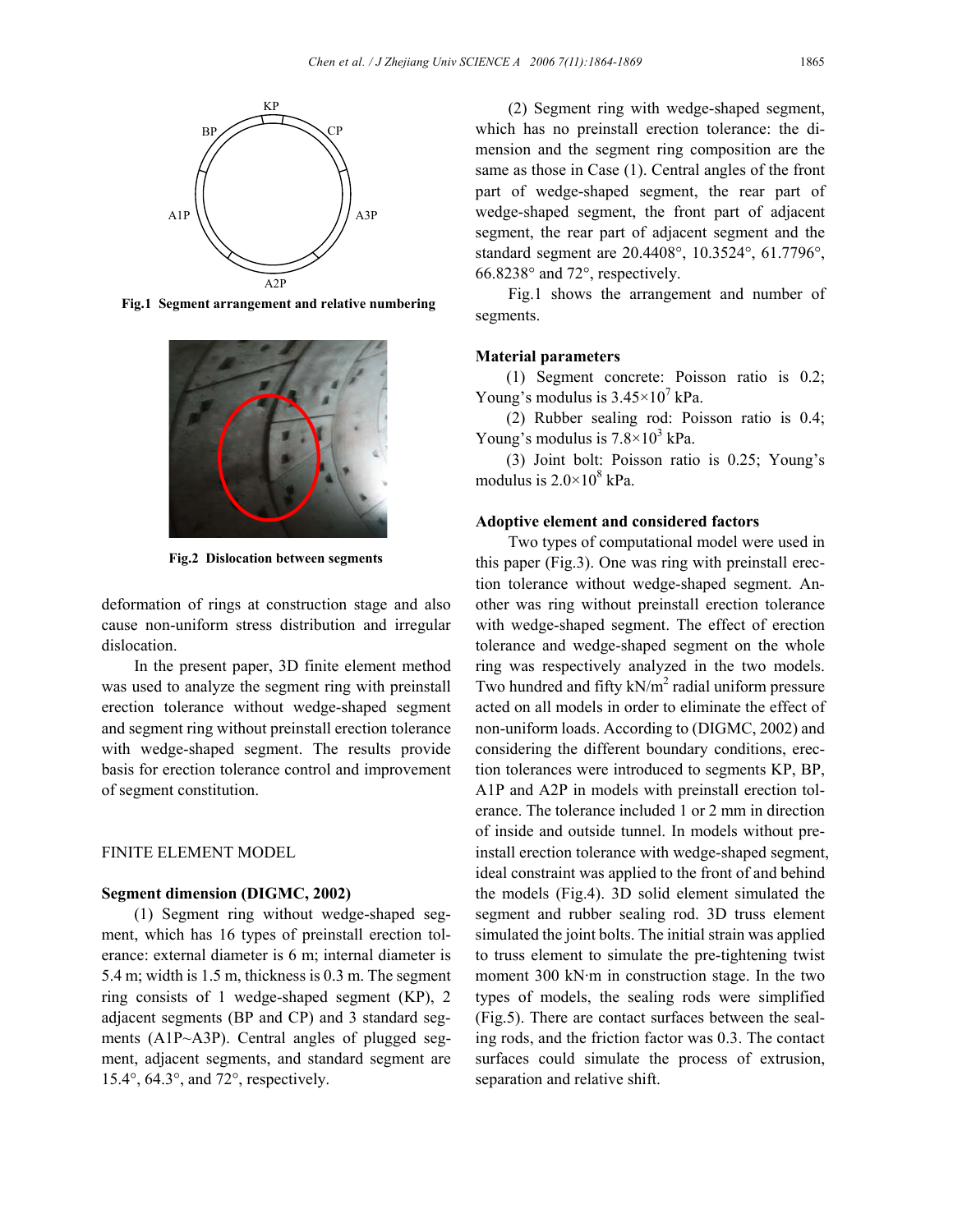

**Fig.1 Segment arrangement and relative numbering**



**Fig.2 Dislocation between segments**

deformation of rings at construction stage and also cause non-uniform stress distribution and irregular dislocation.

In the present paper, 3D finite element method was used to analyze the segment ring with preinstall erection tolerance without wedge-shaped segment and segment ring without preinstall erection tolerance with wedge-shaped segment. The results provide basis for erection tolerance control and improvement of segment constitution.

# FINITE ELEMENT MODEL

#### **Segment dimension (DIGMC, 2002)**

(1) Segment ring without wedge-shaped segment, which has 16 types of preinstall erection tolerance: external diameter is 6 m; internal diameter is 5.4 m; width is 1.5 m, thickness is 0.3 m. The segment ring consists of 1 wedge-shaped segment (KP), 2 adjacent segments (BP and CP) and 3 standard segments (A1P~A3P). Central angles of plugged segment, adjacent segments, and standard segment are 15.4°, 64.3°, and 72°, respectively.

(2) Segment ring with wedge-shaped segment, which has no preinstall erection tolerance: the dimension and the segment ring composition are the same as those in Case (1). Central angles of the front part of wedge-shaped segment, the rear part of wedge-shaped segment, the front part of adjacent segment, the rear part of adjacent segment and the standard segment are 20.4408°, 10.3524°, 61.7796°, 66.8238° and 72°, respectively.

Fig.1 shows the arrangement and number of segments.

#### **Material parameters**

(1) Segment concrete: Poisson ratio is 0.2; Young's modulus is  $3.45 \times 10^7$  kPa.

(2) Rubber sealing rod: Poisson ratio is 0.4; Young's modulus is  $7.8 \times 10^3$  kPa.

(3) Joint bolt: Poisson ratio is 0.25; Young's modulus is  $2.0 \times 10^8$  kPa.

# **Adoptive element and considered factors**

Two types of computational model were used in this paper (Fig.3). One was ring with preinstall erection tolerance without wedge-shaped segment. Another was ring without preinstall erection tolerance with wedge-shaped segment. The effect of erection tolerance and wedge-shaped segment on the whole ring was respectively analyzed in the two models. Two hundred and fifty  $kN/m^2$  radial uniform pressure acted on all models in order to eliminate the effect of non-uniform loads. According to (DIGMC, 2002) and considering the different boundary conditions, erection tolerances were introduced to segments KP, BP, A1P and A2P in models with preinstall erection tolerance. The tolerance included 1 or 2 mm in direction of inside and outside tunnel. In models without preinstall erection tolerance with wedge-shaped segment, ideal constraint was applied to the front of and behind the models (Fig.4). 3D solid element simulated the segment and rubber sealing rod. 3D truss element simulated the joint bolts. The initial strain was applied to truss element to simulate the pre-tightening twist moment 300 kN·m in construction stage. In the two types of models, the sealing rods were simplified (Fig.5). There are contact surfaces between the sealing rods, and the friction factor was 0.3. The contact surfaces could simulate the process of extrusion, separation and relative shift.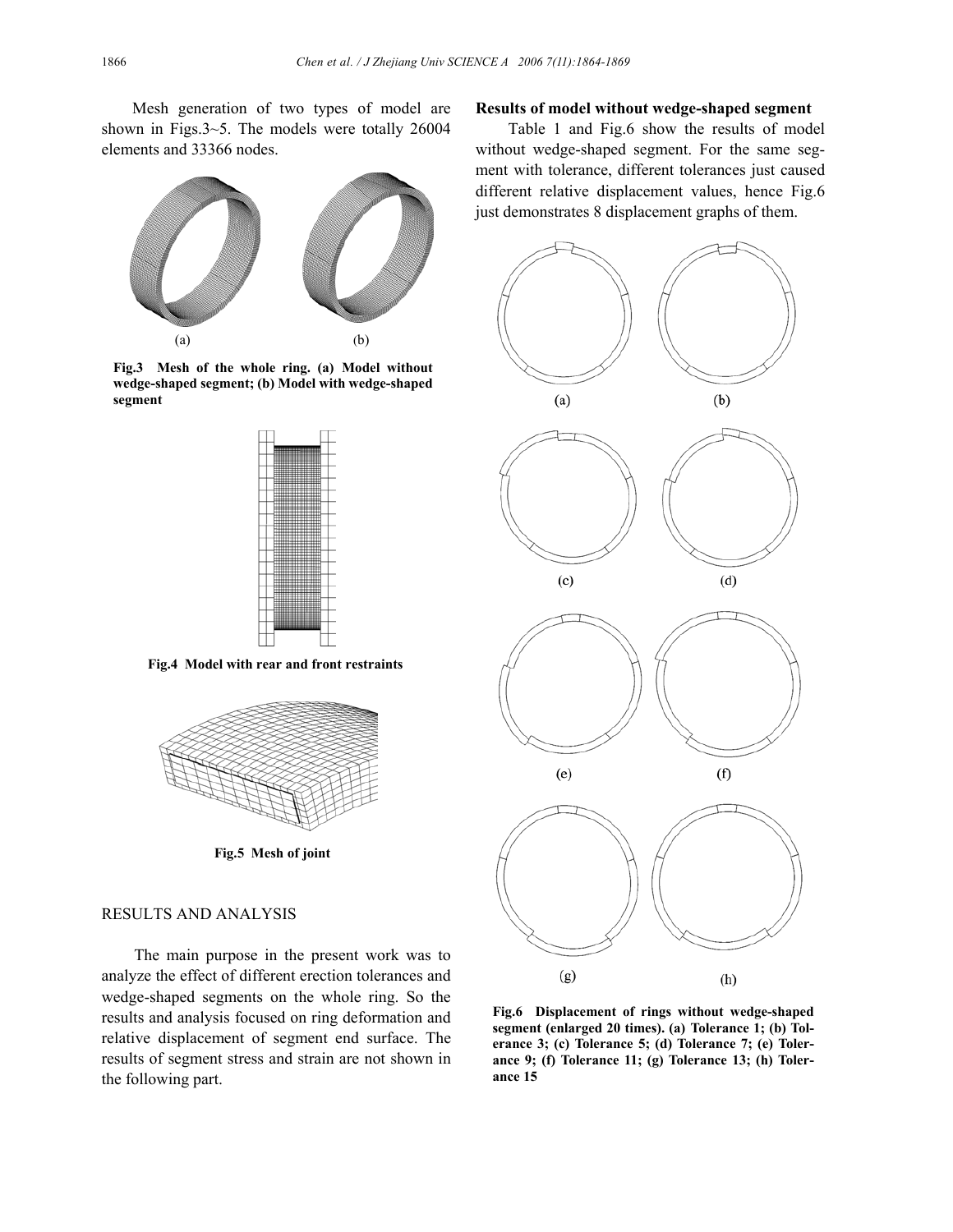Mesh generation of two types of model are shown in Figs.3~5. The models were totally 26004 elements and 33366 nodes.



**Fig.3 Mesh of the whole ring. (a) Model without wedge-shaped segment; (b) Model with wedge-shaped segment**



**Fig.4 Model with rear and front restraints**



**Fig.5 Mesh of joint** 

#### RESULTS AND ANALYSIS

The main purpose in the present work was to analyze the effect of different erection tolerances and wedge-shaped segments on the whole ring. So the results and analysis focused on ring deformation and relative displacement of segment end surface. The results of segment stress and strain are not shown in the following part.

### **Results of model without wedge-shaped segment**

Table 1 and Fig.6 show the results of model without wedge-shaped segment. For the same segment with tolerance, different tolerances just caused different relative displacement values, hence Fig.6 just demonstrates 8 displacement graphs of them.



**Fig.6 Displacement of rings without wedge-shaped segment (enlarged 20 times). (a) Tolerance 1; (b) Tolerance 3; (c) Tolerance 5; (d) Tolerance 7; (e) Tolerance 9; (f) Tolerance 11; (g) Tolerance 13; (h) Tolerance 15**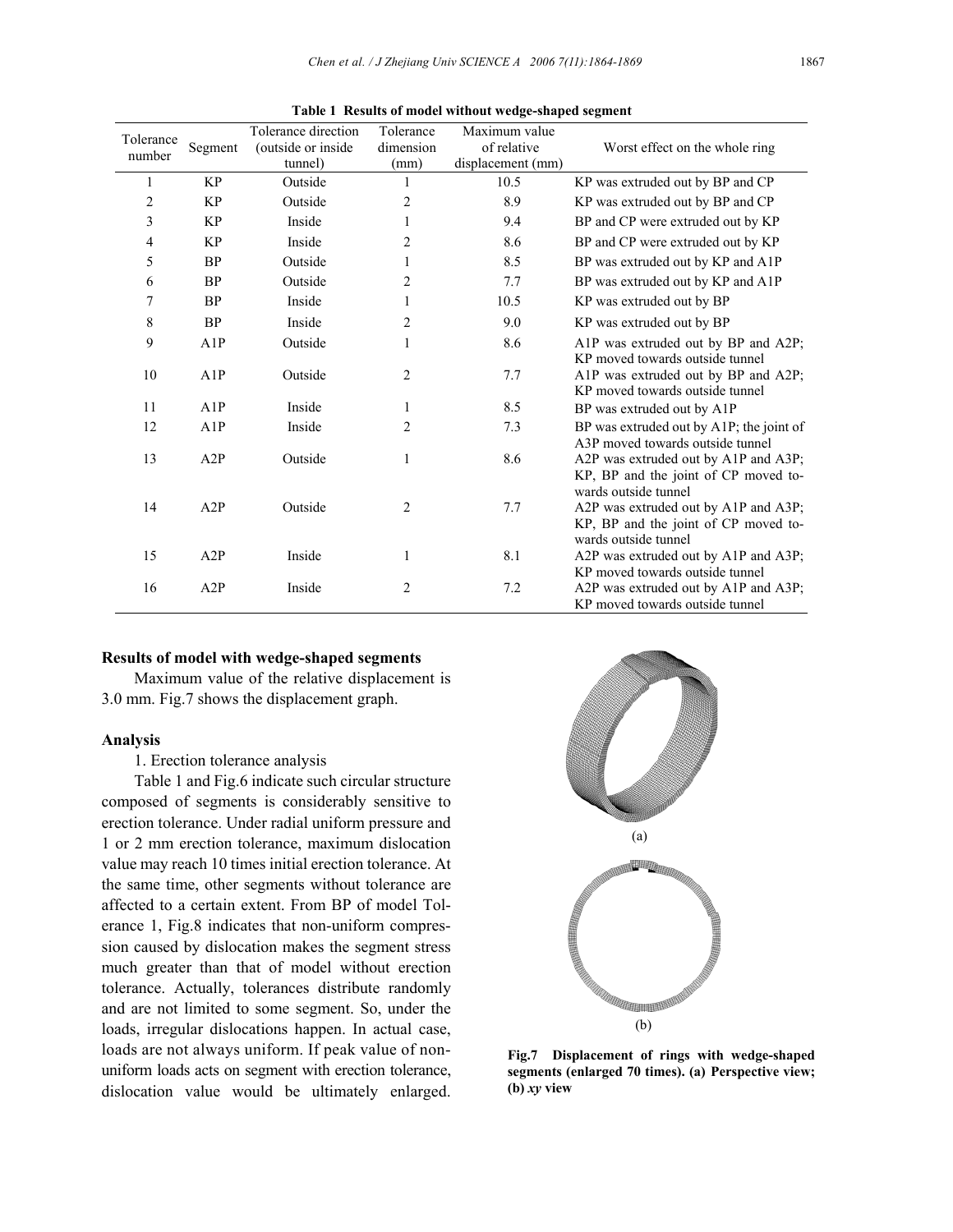| Tolerance      |           | Tolerance direction | Tolerance      | Maximum value     |                                                                         |
|----------------|-----------|---------------------|----------------|-------------------|-------------------------------------------------------------------------|
| number         | Segment   | (outside or inside  | dimension      | of relative       | Worst effect on the whole ring                                          |
|                |           | tunnel)             | (mm)           | displacement (mm) |                                                                         |
| 1              | <b>KP</b> | Outside             |                | 10.5              | KP was extruded out by BP and CP                                        |
| $\overline{c}$ | <b>KP</b> | Outside             | $\overline{c}$ | 8.9               | KP was extruded out by BP and CP                                        |
| 3              | <b>KP</b> | Inside              |                | 9.4               | BP and CP were extruded out by KP                                       |
| 4              | <b>KP</b> | Inside              | 2              | 8.6               | BP and CP were extruded out by KP                                       |
| 5              | <b>BP</b> | Outside             |                | 8.5               | BP was extruded out by KP and A1P                                       |
| 6              | <b>BP</b> | Outside             | $\overline{c}$ | 7.7               | BP was extruded out by KP and A1P                                       |
| 7              | <b>BP</b> | Inside              |                | 10.5              | KP was extruded out by BP                                               |
| 8              | <b>BP</b> | Inside              | 2              | 9.0               | KP was extruded out by BP                                               |
| 9              | A1P       | Outside             | 1              | 8.6               | A1P was extruded out by BP and A2P;                                     |
|                |           |                     |                |                   | KP moved towards outside tunnel                                         |
| 10             | A1P       | Outside             | $\overline{2}$ | 7.7               | A1P was extruded out by BP and A2P;                                     |
|                |           |                     |                |                   | KP moved towards outside tunnel                                         |
| 11             | A1P       | Inside              | 1              | 8.5               | BP was extruded out by A1P                                              |
| 12             | A1P       | Inside              | $\overline{c}$ | 7.3               | BP was extruded out by A1P; the joint of                                |
|                |           |                     |                |                   | A3P moved towards outside tunnel                                        |
| 13             | A2P       | Outside             | 1              | 8.6               | A2P was extruded out by A1P and A3P;                                    |
|                |           |                     |                |                   | KP, BP and the joint of CP moved to-                                    |
|                |           |                     |                |                   | wards outside tunnel                                                    |
| 14             | A2P       | Outside             | $\overline{2}$ | 7.7               | A2P was extruded out by A1P and A3P;                                    |
|                |           |                     |                |                   | KP, BP and the joint of CP moved to-                                    |
|                |           |                     |                |                   | wards outside tunnel                                                    |
| 15             | A2P       | Inside              | 1              | 8.1               | A2P was extruded out by A1P and A3P;                                    |
|                |           |                     |                |                   | KP moved towards outside tunnel                                         |
|                |           |                     |                |                   |                                                                         |
| 16             | A2P       | Inside              | 2              | 7.2               | A2P was extruded out by A1P and A3P;<br>KP moved towards outside tunnel |

**Table 1 Results of model without wedge-shaped segment** 

#### **Results of model with wedge-shaped segments**

Maximum value of the relative displacement is 3.0 mm. Fig.7 shows the displacement graph.

#### **Analysis**

1. Erection tolerance analysis

Table 1 and Fig.6 indicate such circular structure composed of segments is considerably sensitive to erection tolerance. Under radial uniform pressure and 1 or 2 mm erection tolerance, maximum dislocation value may reach 10 times initial erection tolerance. At the same time, other segments without tolerance are affected to a certain extent. From BP of model Tolerance 1, Fig.8 indicates that non-uniform compression caused by dislocation makes the segment stress much greater than that of model without erection tolerance. Actually, tolerances distribute randomly and are not limited to some segment. So, under the loads, irregular dislocations happen. In actual case, loads are not always uniform. If peak value of nonuniform loads acts on segment with erection tolerance, dislocation value would be ultimatelyenlarged.



**Fig.7 Displacement of rings with wedge-shaped segments (enlarged 70 times). (a) Perspective view; (b)** *xy* **view**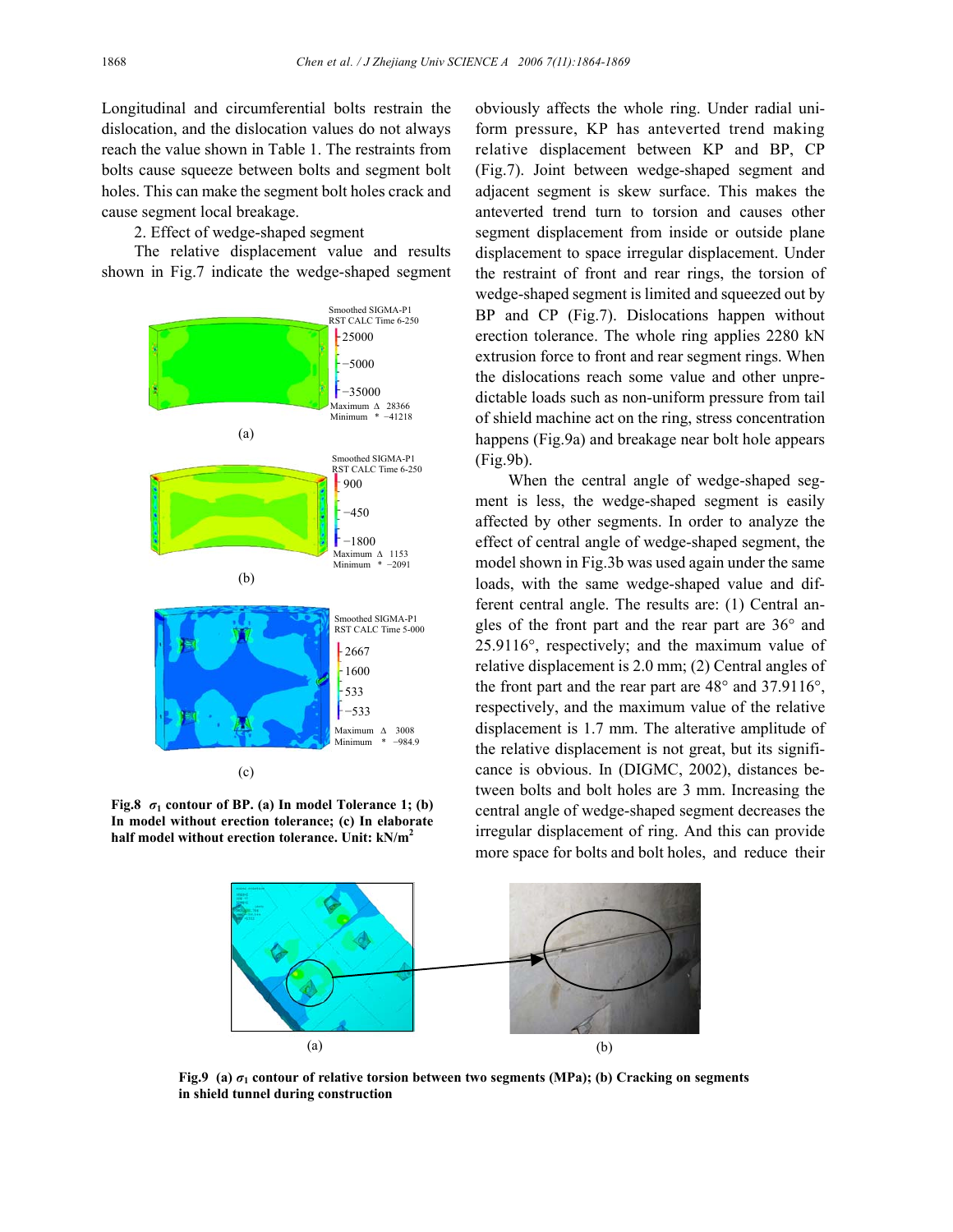Longitudinal and circumferential bolts restrain the dislocation, and the dislocation values do not always reach the value shown in Table 1. The restraints from bolts cause squeeze between bolts and segment bolt holes. This can make the segment bolt holes crack and cause segment local breakage.

2. Effect of wedge-shaped segment

The relative displacement value and results shown in Fig.7 indicate the wedge-shaped segment



**Fig.8**  $\sigma_1$  contour of BP. (a) In model Tolerance 1; (b) **In model without erection tolerance; (c) In elaborate half model without erection tolerance. Unit: kN/m2**

obviously affects the whole ring. Under radial uniform pressure, KP has anteverted trend making relative displacement between KP and BP, CP (Fig.7). Joint between wedge-shaped segment and adjacent segment is skew surface. This makes the anteverted trend turn to torsion and causes other segment displacement from inside or outside plane displacement to space irregular displacement. Under the restraint of front and rear rings, the torsion of wedge-shaped segment is limited and squeezed out by BP and CP (Fig.7). Dislocations happen without erection tolerance. The whole ring applies 2280 kN extrusion force to front and rear segment rings. When the dislocations reach some value and other unpredictable loads such as non-uniform pressure from tail of shield machine act on the ring, stress concentration happens (Fig.9a) and breakage near bolt hole appears (Fig.9b).

When the central angle of wedge-shaped segment is less, the wedge-shaped segment is easily affected by other segments. In order to analyze the effect of central angle of wedge-shaped segment, the model shown in Fig.3b was used again under the same loads, with the same wedge-shaped value and different central angle. The results are: (1) Central angles of the front part and the rear part are 36° and 25.9116°, respectively; and the maximum value of relative displacement is 2.0 mm; (2) Central angles of the front part and the rear part are 48° and 37.9116°, respectively, and the maximum value of the relative displacement is 1.7 mm. The alterative amplitude of the relative displacement is not great, but its significance is obvious. In (DIGMC, 2002), distances between bolts and bolt holes are 3 mm. Increasing the central angle of wedge-shaped segment decreases the irregular displacement of ring. And this can provide more space for bolts and bolt holes, and reduce their



**Fig.9** (a)  $\sigma_1$  contour of relative torsion between two segments (MPa); (b) Cracking on segments **in shield tunnel during construction**